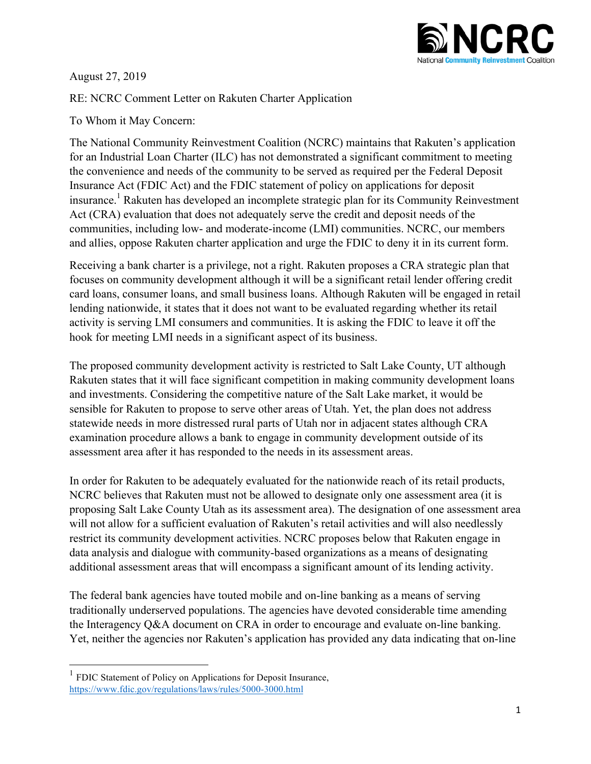

August 27, 2019

RE: NCRC Comment Letter on Rakuten Charter Application

To Whom it May Concern:

The National Community Reinvestment Coalition (NCRC) maintains that Rakuten's application for an Industrial Loan Charter (ILC) has not demonstrated a significant commitment to meeting the convenience and needs of the community to be served as required per the Federal Deposit Insurance Act (FDIC Act) and the FDIC statement of policy on applications for deposit insurance. <sup>1</sup> Rakuten has developed an incomplete strategic plan for its Community Reinvestment Act (CRA) evaluation that does not adequately serve the credit and deposit needs of the communities, including low- and moderate-income (LMI) communities. NCRC, our members and allies, oppose Rakuten charter application and urge the FDIC to deny it in its current form.

Receiving a bank charter is a privilege, not a right. Rakuten proposes a CRA strategic plan that focuses on community development although it will be a significant retail lender offering credit card loans, consumer loans, and small business loans. Although Rakuten will be engaged in retail lending nationwide, it states that it does not want to be evaluated regarding whether its retail activity is serving LMI consumers and communities. It is asking the FDIC to leave it off the hook for meeting LMI needs in a significant aspect of its business.

The proposed community development activity is restricted to Salt Lake County, UT although Rakuten states that it will face significant competition in making community development loans and investments. Considering the competitive nature of the Salt Lake market, it would be sensible for Rakuten to propose to serve other areas of Utah. Yet, the plan does not address statewide needs in more distressed rural parts of Utah nor in adjacent states although CRA examination procedure allows a bank to engage in community development outside of its assessment area after it has responded to the needs in its assessment areas.

In order for Rakuten to be adequately evaluated for the nationwide reach of its retail products, NCRC believes that Rakuten must not be allowed to designate only one assessment area (it is proposing Salt Lake County Utah as its assessment area). The designation of one assessment area will not allow for a sufficient evaluation of Rakuten's retail activities and will also needlessly restrict its community development activities. NCRC proposes below that Rakuten engage in data analysis and dialogue with community-based organizations as a means of designating additional assessment areas that will encompass a significant amount of its lending activity.

The federal bank agencies have touted mobile and on-line banking as a means of serving traditionally underserved populations. The agencies have devoted considerable time amending the Interagency Q&A document on CRA in order to encourage and evaluate on-line banking. Yet, neither the agencies nor Rakuten's application has provided any data indicating that on-line

<sup>&</sup>lt;sup>1</sup> FDIC Statement of Policy on Applications for Deposit Insurance, https://www.fdic.gov/regulations/laws/rules/5000-3000.html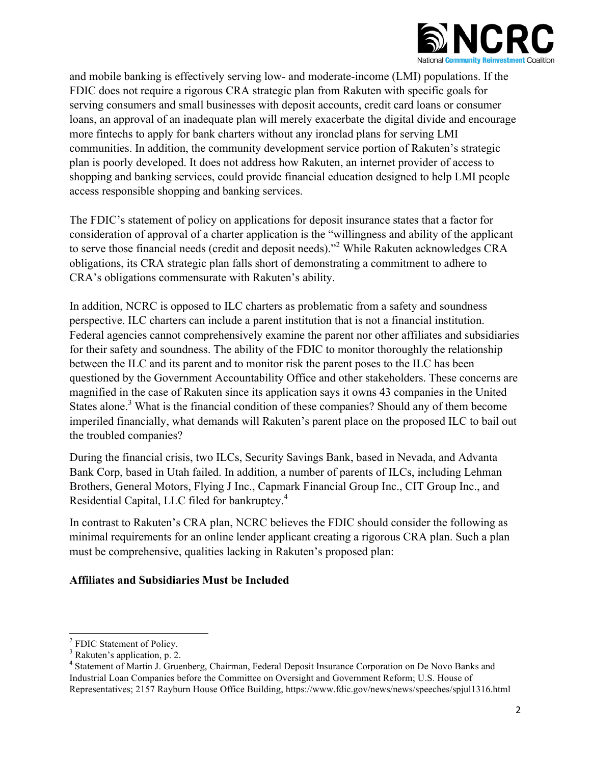

and mobile banking is effectively serving low- and moderate-income (LMI) populations. If the FDIC does not require a rigorous CRA strategic plan from Rakuten with specific goals for serving consumers and small businesses with deposit accounts, credit card loans or consumer loans, an approval of an inadequate plan will merely exacerbate the digital divide and encourage more fintechs to apply for bank charters without any ironclad plans for serving LMI communities. In addition, the community development service portion of Rakuten's strategic plan is poorly developed. It does not address how Rakuten, an internet provider of access to shopping and banking services, could provide financial education designed to help LMI people access responsible shopping and banking services.

The FDIC's statement of policy on applications for deposit insurance states that a factor for consideration of approval of a charter application is the "willingness and ability of the applicant to serve those financial needs (credit and deposit needs)."<sup>2</sup> While Rakuten acknowledges CRA obligations, its CRA strategic plan falls short of demonstrating a commitment to adhere to CRA's obligations commensurate with Rakuten's ability.

In addition, NCRC is opposed to ILC charters as problematic from a safety and soundness perspective. ILC charters can include a parent institution that is not a financial institution. Federal agencies cannot comprehensively examine the parent nor other affiliates and subsidiaries for their safety and soundness. The ability of the FDIC to monitor thoroughly the relationship between the ILC and its parent and to monitor risk the parent poses to the ILC has been questioned by the Government Accountability Office and other stakeholders. These concerns are magnified in the case of Rakuten since its application says it owns 43 companies in the United States alone.<sup>3</sup> What is the financial condition of these companies? Should any of them become imperiled financially, what demands will Rakuten's parent place on the proposed ILC to bail out the troubled companies?

During the financial crisis, two ILCs, Security Savings Bank, based in Nevada, and Advanta Bank Corp, based in Utah failed. In addition, a number of parents of ILCs, including Lehman Brothers, General Motors, Flying J Inc., Capmark Financial Group Inc., CIT Group Inc., and Residential Capital, LLC filed for bankruptcy.<sup>4</sup>

In contrast to Rakuten's CRA plan, NCRC believes the FDIC should consider the following as minimal requirements for an online lender applicant creating a rigorous CRA plan. Such a plan must be comprehensive, qualities lacking in Rakuten's proposed plan:

## **Affiliates and Subsidiaries Must be Included**

 <sup>2</sup> FDIC Statement of Policy.

 $3$  Rakuten's application, p. 2.

<sup>4</sup> Statement of Martin J. Gruenberg, Chairman, Federal Deposit Insurance Corporation on De Novo Banks and Industrial Loan Companies before the Committee on Oversight and Government Reform; U.S. House of Representatives; 2157 Rayburn House Office Building, https://www.fdic.gov/news/news/speeches/spjul1316.html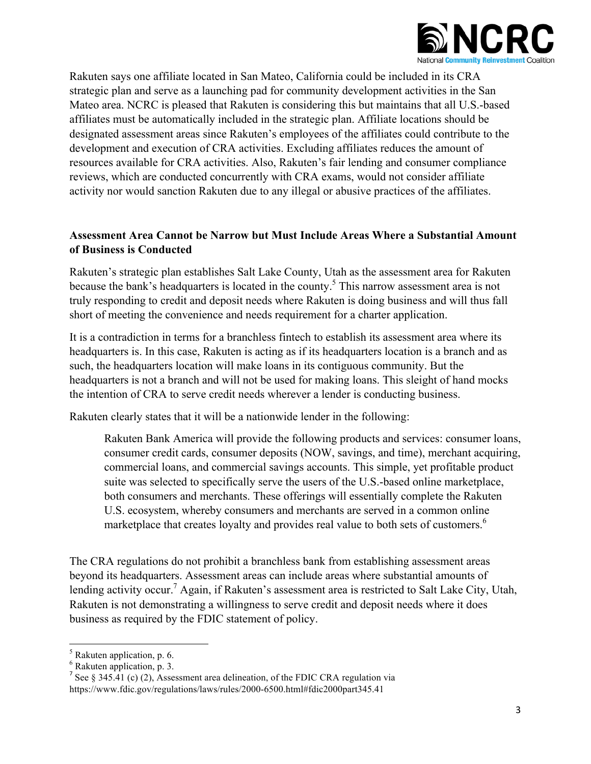

Rakuten says one affiliate located in San Mateo, California could be included in its CRA strategic plan and serve as a launching pad for community development activities in the San Mateo area. NCRC is pleased that Rakuten is considering this but maintains that all U.S.-based affiliates must be automatically included in the strategic plan. Affiliate locations should be designated assessment areas since Rakuten's employees of the affiliates could contribute to the development and execution of CRA activities. Excluding affiliates reduces the amount of resources available for CRA activities. Also, Rakuten's fair lending and consumer compliance reviews, which are conducted concurrently with CRA exams, would not consider affiliate activity nor would sanction Rakuten due to any illegal or abusive practices of the affiliates.

## **Assessment Area Cannot be Narrow but Must Include Areas Where a Substantial Amount of Business is Conducted**

Rakuten's strategic plan establishes Salt Lake County, Utah as the assessment area for Rakuten because the bank's headquarters is located in the county.<sup>5</sup> This narrow assessment area is not truly responding to credit and deposit needs where Rakuten is doing business and will thus fall short of meeting the convenience and needs requirement for a charter application.

It is a contradiction in terms for a branchless fintech to establish its assessment area where its headquarters is. In this case, Rakuten is acting as if its headquarters location is a branch and as such, the headquarters location will make loans in its contiguous community. But the headquarters is not a branch and will not be used for making loans. This sleight of hand mocks the intention of CRA to serve credit needs wherever a lender is conducting business.

Rakuten clearly states that it will be a nationwide lender in the following:

Rakuten Bank America will provide the following products and services: consumer loans, consumer credit cards, consumer deposits (NOW, savings, and time), merchant acquiring, commercial loans, and commercial savings accounts. This simple, yet profitable product suite was selected to specifically serve the users of the U.S.-based online marketplace, both consumers and merchants. These offerings will essentially complete the Rakuten U.S. ecosystem, whereby consumers and merchants are served in a common online marketplace that creates loyalty and provides real value to both sets of customers.<sup>6</sup>

The CRA regulations do not prohibit a branchless bank from establishing assessment areas beyond its headquarters. Assessment areas can include areas where substantial amounts of lending activity occur.<sup>7</sup> Again, if Rakuten's assessment area is restricted to Salt Lake City, Utah, Rakuten is not demonstrating a willingness to serve credit and deposit needs where it does business as required by the FDIC statement of policy.

 $<sup>5</sup>$  Rakuten application, p. 6.</sup>

<sup>6</sup> Rakuten application, p. 3.

<sup>&</sup>lt;sup>7</sup> See § 345.41 (c) (2), Assessment area delineation, of the FDIC CRA regulation via https://www.fdic.gov/regulations/laws/rules/2000-6500.html#fdic2000part345.41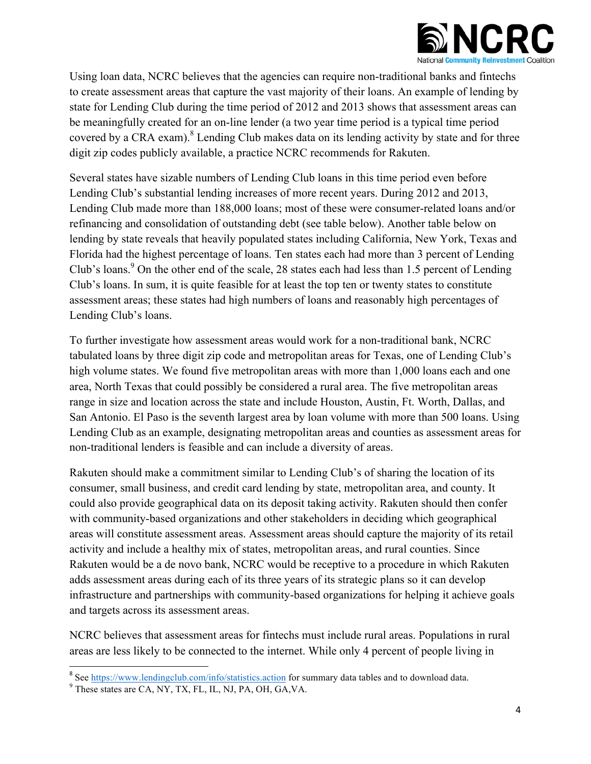

Using loan data, NCRC believes that the agencies can require non-traditional banks and fintechs to create assessment areas that capture the vast majority of their loans. An example of lending by state for Lending Club during the time period of 2012 and 2013 shows that assessment areas can be meaningfully created for an on-line lender (a two year time period is a typical time period covered by a CRA exam).<sup>8</sup> Lending Club makes data on its lending activity by state and for three digit zip codes publicly available, a practice NCRC recommends for Rakuten.

Several states have sizable numbers of Lending Club loans in this time period even before Lending Club's substantial lending increases of more recent years. During 2012 and 2013, Lending Club made more than 188,000 loans; most of these were consumer-related loans and/or refinancing and consolidation of outstanding debt (see table below). Another table below on lending by state reveals that heavily populated states including California, New York, Texas and Florida had the highest percentage of loans. Ten states each had more than 3 percent of Lending Club's loans.<sup>9</sup> On the other end of the scale, 28 states each had less than 1.5 percent of Lending Club's loans. In sum, it is quite feasible for at least the top ten or twenty states to constitute assessment areas; these states had high numbers of loans and reasonably high percentages of Lending Club's loans.

To further investigate how assessment areas would work for a non-traditional bank, NCRC tabulated loans by three digit zip code and metropolitan areas for Texas, one of Lending Club's high volume states. We found five metropolitan areas with more than 1,000 loans each and one area, North Texas that could possibly be considered a rural area. The five metropolitan areas range in size and location across the state and include Houston, Austin, Ft. Worth, Dallas, and San Antonio. El Paso is the seventh largest area by loan volume with more than 500 loans. Using Lending Club as an example, designating metropolitan areas and counties as assessment areas for non-traditional lenders is feasible and can include a diversity of areas.

Rakuten should make a commitment similar to Lending Club's of sharing the location of its consumer, small business, and credit card lending by state, metropolitan area, and county. It could also provide geographical data on its deposit taking activity. Rakuten should then confer with community-based organizations and other stakeholders in deciding which geographical areas will constitute assessment areas. Assessment areas should capture the majority of its retail activity and include a healthy mix of states, metropolitan areas, and rural counties. Since Rakuten would be a de novo bank, NCRC would be receptive to a procedure in which Rakuten adds assessment areas during each of its three years of its strategic plans so it can develop infrastructure and partnerships with community-based organizations for helping it achieve goals and targets across its assessment areas.

NCRC believes that assessment areas for fintechs must include rural areas. Populations in rural areas are less likely to be connected to the internet. While only 4 percent of people living in

<sup>&</sup>lt;sup>8</sup> See https://www.lendingclub.com/info/statistics.action for summary data tables and to download data.

<sup>&</sup>lt;sup>9</sup> These states are CA, NY, TX, FL, IL, NJ, PA, OH, GA, VA.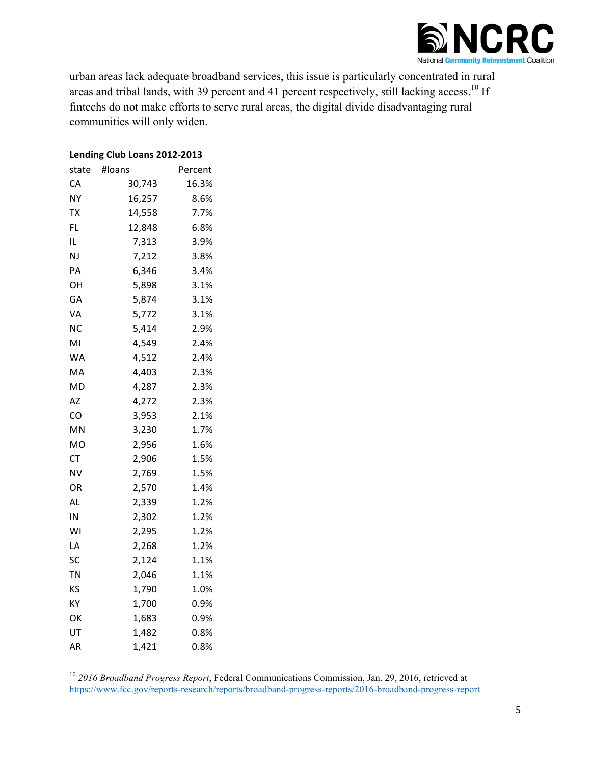

urban areas lack adequate broadband services, this issue is particularly concentrated in rural areas and tribal lands, with 39 percent and 41 percent respectively, still lacking access.<sup>10</sup> If fintechs do not make efforts to serve rural areas, the digital divide disadvantaging rural communities will only widen.

#### Lending Club Loans 2012-2013

| state | #loans | Percent |
|-------|--------|---------|
| CA    | 30,743 | 16.3%   |
| NΥ    | 16,257 | 8.6%    |
| TX    | 14,558 | 7.7%    |
| FL    | 12,848 | 6.8%    |
| IL    | 7,313  | 3.9%    |
| NJ    | 7,212  | 3.8%    |
| PA    | 6,346  | 3.4%    |
| OH    | 5,898  | 3.1%    |
| GА    | 5,874  | 3.1%    |
| VA    | 5,772  | 3.1%    |
| NC    | 5,414  | 2.9%    |
| ΜI    | 4,549  | 2.4%    |
| WA    | 4,512  | 2.4%    |
| MA    | 4,403  | 2.3%    |
| MD    | 4,287  | 2.3%    |
| AZ    | 4,272  | 2.3%    |
| CO    | 3,953  | 2.1%    |
| MN    | 3,230  | 1.7%    |
| MO    | 2,956  | 1.6%    |
| СT    | 2,906  | 1.5%    |
| NV    | 2,769  | 1.5%    |
| OR    | 2,570  | 1.4%    |
| AL    | 2,339  | 1.2%    |
| IN    | 2,302  | 1.2%    |
| WI    | 2,295  | 1.2%    |
| LA    | 2,268  | 1.2%    |
| SC    | 2,124  | 1.1%    |
| TN    | 2,046  | 1.1%    |
| KS    | 1,790  | 1.0%    |
| KY    | 1,700  | 0.9%    |
| OK    | 1,683  | 0.9%    |
| UT    | 1,482  | 0.8%    |
| AR    | 1,421  | 0.8%    |

<sup>10</sup> *2016 Broadband Progress Report*, Federal Communications Commission, Jan. 29, 2016, retrieved at https://www.fcc.gov/reports-research/reports/broadband-progress-reports/2016-broadband-progress-report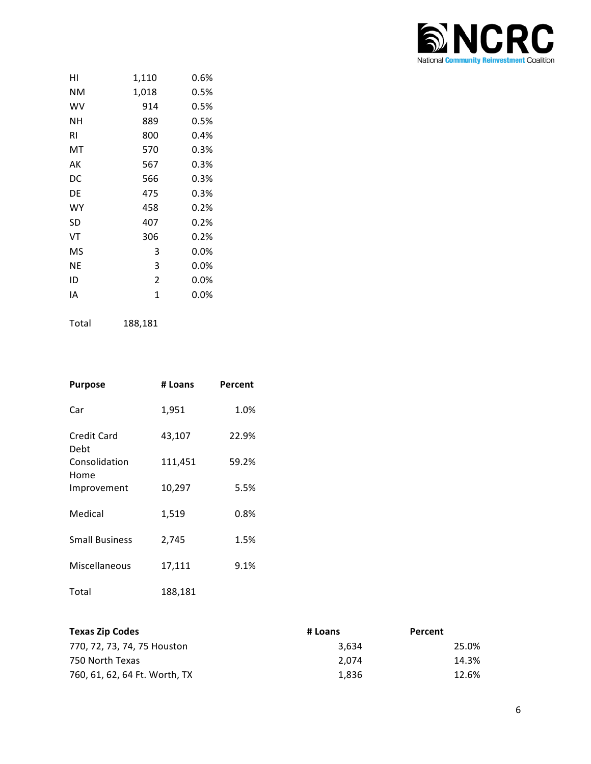

| нı | 1,110          | 0.6%    |
|----|----------------|---------|
| NΜ | 1,018          | 0.5%    |
| W٧ | 914            | 0.5%    |
| NΗ | 889            | 0.5%    |
| RI | 800            | 0.4%    |
| МT | 570            | 0.3%    |
| AК | 567            | 0.3%    |
| DC | 566            | 0.3%    |
| DE | 475            | 0.3%    |
| WY | 458            | 0.2%    |
| SD | 407            | 0.2%    |
| VT | 306            | 0.2%    |
| MS | 3              | $0.0\%$ |
| ΝE | 3              | $0.0\%$ |
| ID | $\overline{2}$ | $0.0\%$ |
| IA | 1              | 0.0%    |
|    |                |         |

Total 188,181

| <b>Purpose</b>        | # Loans | Percent |
|-----------------------|---------|---------|
| Car                   | 1,951   | 1.0%    |
| Credit Card<br>Debt   | 43,107  | 22.9%   |
| Consolidation<br>Home | 111,451 | 59.2%   |
| Improvement           | 10,297  | 5.5%    |
| Medical               | 1,519   | 0.8%    |
| <b>Small Business</b> | 2,745   | 1.5%    |
| Miscellaneous         | 17,111  | 9.1%    |
| Total                 | 188,181 |         |

| <b>Texas Zip Codes</b>        | # Loans | Percent |
|-------------------------------|---------|---------|
| 770, 72, 73, 74, 75 Houston   | 3.634   | 25.0%   |
| 750 North Texas               | 2.074   | 14.3%   |
| 760, 61, 62, 64 Ft. Worth, TX | 1.836   | 12.6%   |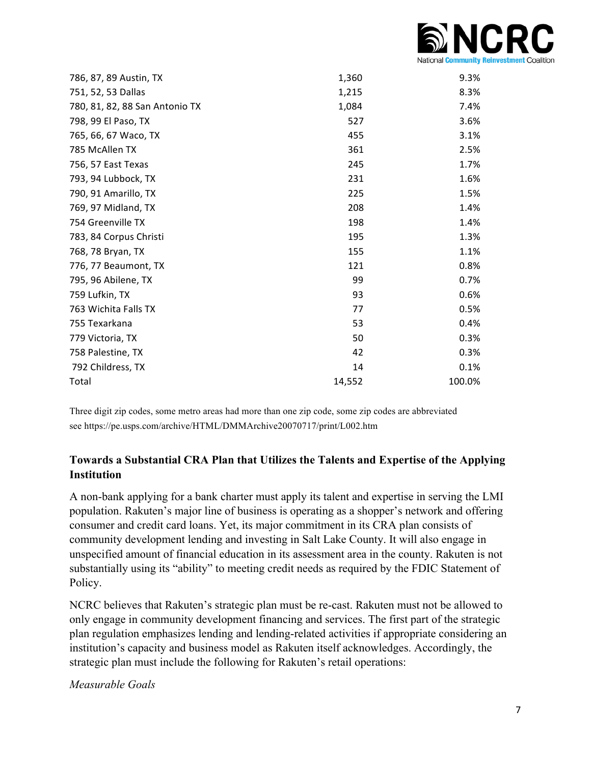

| 786, 87, 89 Austin, TX         | 1,360  | 9.3%   |
|--------------------------------|--------|--------|
| 751, 52, 53 Dallas             | 1,215  | 8.3%   |
| 780, 81, 82, 88 San Antonio TX | 1,084  | 7.4%   |
| 798, 99 El Paso, TX            | 527    | 3.6%   |
| 765, 66, 67 Waco, TX           | 455    | 3.1%   |
| 785 McAllen TX                 | 361    | 2.5%   |
| 756, 57 East Texas             | 245    | 1.7%   |
| 793, 94 Lubbock, TX            | 231    | 1.6%   |
| 790, 91 Amarillo, TX           | 225    | 1.5%   |
| 769, 97 Midland, TX            | 208    | 1.4%   |
| 754 Greenville TX              | 198    | 1.4%   |
| 783, 84 Corpus Christi         | 195    | 1.3%   |
| 768, 78 Bryan, TX              | 155    | 1.1%   |
| 776, 77 Beaumont, TX           | 121    | 0.8%   |
| 795, 96 Abilene, TX            | 99     | 0.7%   |
| 759 Lufkin, TX                 | 93     | 0.6%   |
| 763 Wichita Falls TX           | 77     | 0.5%   |
| 755 Texarkana                  | 53     | 0.4%   |
| 779 Victoria, TX               | 50     | 0.3%   |
| 758 Palestine, TX              | 42     | 0.3%   |
| 792 Childress, TX              | 14     | 0.1%   |
| Total                          | 14,552 | 100.0% |
|                                |        |        |

Three digit zip codes, some metro areas had more than one zip code, some zip codes are abbreviated see https://pe.usps.com/archive/HTML/DMMArchive20070717/print/L002.htm

# **Towards a Substantial CRA Plan that Utilizes the Talents and Expertise of the Applying Institution**

A non-bank applying for a bank charter must apply its talent and expertise in serving the LMI population. Rakuten's major line of business is operating as a shopper's network and offering consumer and credit card loans. Yet, its major commitment in its CRA plan consists of community development lending and investing in Salt Lake County. It will also engage in unspecified amount of financial education in its assessment area in the county. Rakuten is not substantially using its "ability" to meeting credit needs as required by the FDIC Statement of Policy.

NCRC believes that Rakuten's strategic plan must be re-cast. Rakuten must not be allowed to only engage in community development financing and services. The first part of the strategic plan regulation emphasizes lending and lending-related activities if appropriate considering an institution's capacity and business model as Rakuten itself acknowledges. Accordingly, the strategic plan must include the following for Rakuten's retail operations:

*Measurable Goals*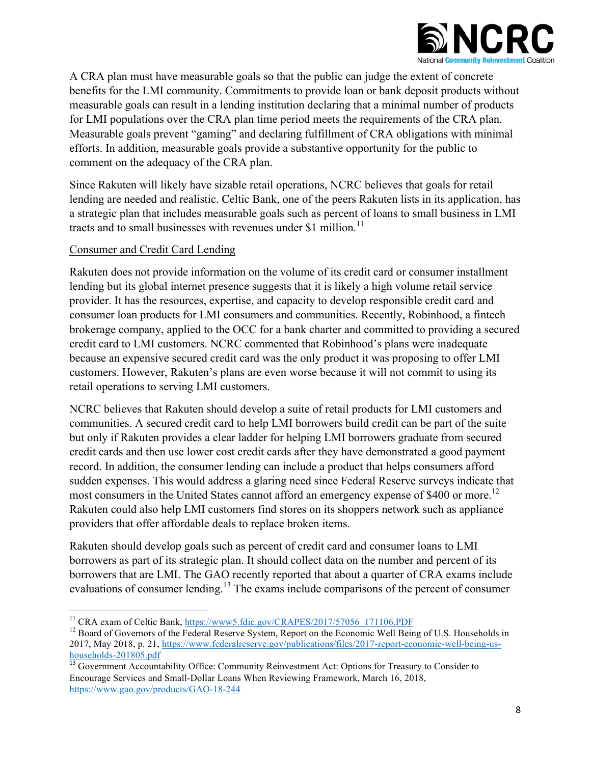

A CRA plan must have measurable goals so that the public can judge the extent of concrete benefits for the LMI community. Commitments to provide loan or bank deposit products without measurable goals can result in a lending institution declaring that a minimal number of products for LMI populations over the CRA plan time period meets the requirements of the CRA plan. Measurable goals prevent "gaming" and declaring fulfillment of CRA obligations with minimal efforts. In addition, measurable goals provide a substantive opportunity for the public to comment on the adequacy of the CRA plan.

Since Rakuten will likely have sizable retail operations, NCRC believes that goals for retail lending are needed and realistic. Celtic Bank, one of the peers Rakuten lists in its application, has a strategic plan that includes measurable goals such as percent of loans to small business in LMI tracts and to small businesses with revenues under \$1 million.<sup>11</sup>

## Consumer and Credit Card Lending

Rakuten does not provide information on the volume of its credit card or consumer installment lending but its global internet presence suggests that it is likely a high volume retail service provider. It has the resources, expertise, and capacity to develop responsible credit card and consumer loan products for LMI consumers and communities. Recently, Robinhood, a fintech brokerage company, applied to the OCC for a bank charter and committed to providing a secured credit card to LMI customers. NCRC commented that Robinhood's plans were inadequate because an expensive secured credit card was the only product it was proposing to offer LMI customers. However, Rakuten's plans are even worse because it will not commit to using its retail operations to serving LMI customers.

NCRC believes that Rakuten should develop a suite of retail products for LMI customers and communities. A secured credit card to help LMI borrowers build credit can be part of the suite but only if Rakuten provides a clear ladder for helping LMI borrowers graduate from secured credit cards and then use lower cost credit cards after they have demonstrated a good payment record. In addition, the consumer lending can include a product that helps consumers afford sudden expenses. This would address a glaring need since Federal Reserve surveys indicate that most consumers in the United States cannot afford an emergency expense of \$400 or more.<sup>12</sup> Rakuten could also help LMI customers find stores on its shoppers network such as appliance providers that offer affordable deals to replace broken items.

Rakuten should develop goals such as percent of credit card and consumer loans to LMI borrowers as part of its strategic plan. It should collect data on the number and percent of its borrowers that are LMI. The GAO recently reported that about a quarter of CRA exams include evaluations of consumer lending.<sup>13</sup> The exams include comparisons of the percent of consumer

<sup>&</sup>lt;sup>11</sup> CRA exam of Celtic Bank, https://www5.fdic.gov/CRAPES/2017/57056\_171106.PDF

 $12$  Board of Governors of the Federal Reserve System, Report on the Economic Well Being of U.S. Households in 2017, May 2018, p. 21, https://www.federalreserve.gov/publications/files/2017-report-economic-well-being-ushouseholds-201805.pdf <sup>13</sup> Government Accountability Office: Community Reinvestment Act: Options for Treasury to Consider to

Encourage Services and Small-Dollar Loans When Reviewing Framework, March 16, 2018, https://www.gao.gov/products/GAO-18-244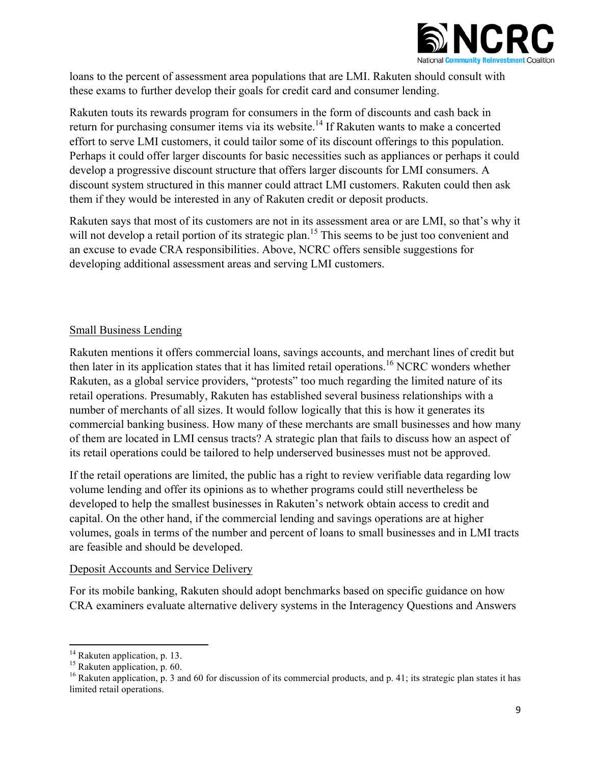

loans to the percent of assessment area populations that are LMI. Rakuten should consult with these exams to further develop their goals for credit card and consumer lending.

Rakuten touts its rewards program for consumers in the form of discounts and cash back in return for purchasing consumer items via its website.<sup>14</sup> If Rakuten wants to make a concerted effort to serve LMI customers, it could tailor some of its discount offerings to this population. Perhaps it could offer larger discounts for basic necessities such as appliances or perhaps it could develop a progressive discount structure that offers larger discounts for LMI consumers. A discount system structured in this manner could attract LMI customers. Rakuten could then ask them if they would be interested in any of Rakuten credit or deposit products.

Rakuten says that most of its customers are not in its assessment area or are LMI, so that's why it will not develop a retail portion of its strategic plan.<sup>15</sup> This seems to be just too convenient and an excuse to evade CRA responsibilities. Above, NCRC offers sensible suggestions for developing additional assessment areas and serving LMI customers.

## Small Business Lending

Rakuten mentions it offers commercial loans, savings accounts, and merchant lines of credit but then later in its application states that it has limited retail operations.<sup>16</sup> NCRC wonders whether Rakuten, as a global service providers, "protests" too much regarding the limited nature of its retail operations. Presumably, Rakuten has established several business relationships with a number of merchants of all sizes. It would follow logically that this is how it generates its commercial banking business. How many of these merchants are small businesses and how many of them are located in LMI census tracts? A strategic plan that fails to discuss how an aspect of its retail operations could be tailored to help underserved businesses must not be approved.

If the retail operations are limited, the public has a right to review verifiable data regarding low volume lending and offer its opinions as to whether programs could still nevertheless be developed to help the smallest businesses in Rakuten's network obtain access to credit and capital. On the other hand, if the commercial lending and savings operations are at higher volumes, goals in terms of the number and percent of loans to small businesses and in LMI tracts are feasible and should be developed.

## Deposit Accounts and Service Delivery

For its mobile banking, Rakuten should adopt benchmarks based on specific guidance on how CRA examiners evaluate alternative delivery systems in the Interagency Questions and Answers

<sup>&</sup>lt;sup>14</sup> Rakuten application, p. 13.<br><sup>15</sup> Rakuten application, p. 60.

<sup>&</sup>lt;sup>16</sup> Rakuten application, p. 3 and 60 for discussion of its commercial products, and p. 41; its strategic plan states it has limited retail operations.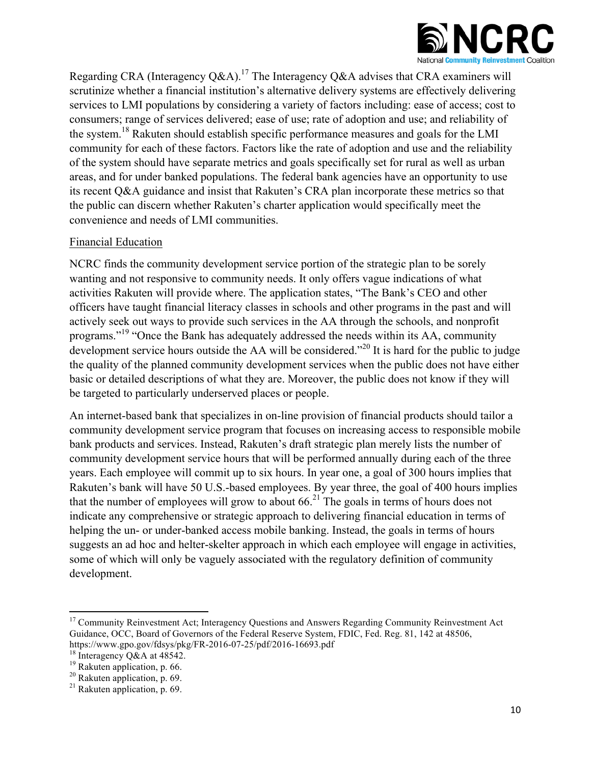

Regarding CRA (Interagency Q&A).<sup>17</sup> The Interagency Q&A advises that CRA examiners will scrutinize whether a financial institution's alternative delivery systems are effectively delivering services to LMI populations by considering a variety of factors including: ease of access; cost to consumers; range of services delivered; ease of use; rate of adoption and use; and reliability of the system.<sup>18</sup> Rakuten should establish specific performance measures and goals for the LMI community for each of these factors. Factors like the rate of adoption and use and the reliability of the system should have separate metrics and goals specifically set for rural as well as urban areas, and for under banked populations. The federal bank agencies have an opportunity to use its recent Q&A guidance and insist that Rakuten's CRA plan incorporate these metrics so that the public can discern whether Rakuten's charter application would specifically meet the convenience and needs of LMI communities.

## Financial Education

NCRC finds the community development service portion of the strategic plan to be sorely wanting and not responsive to community needs. It only offers vague indications of what activities Rakuten will provide where. The application states, "The Bank's CEO and other officers have taught financial literacy classes in schools and other programs in the past and will actively seek out ways to provide such services in the AA through the schools, and nonprofit programs."<sup>19</sup> "Once the Bank has adequately addressed the needs within its AA, community development service hours outside the AA will be considered."<sup>20</sup> It is hard for the public to judge the quality of the planned community development services when the public does not have either basic or detailed descriptions of what they are. Moreover, the public does not know if they will be targeted to particularly underserved places or people.

An internet-based bank that specializes in on-line provision of financial products should tailor a community development service program that focuses on increasing access to responsible mobile bank products and services. Instead, Rakuten's draft strategic plan merely lists the number of community development service hours that will be performed annually during each of the three years. Each employee will commit up to six hours. In year one, a goal of 300 hours implies that Rakuten's bank will have 50 U.S.-based employees. By year three, the goal of 400 hours implies that the number of employees will grow to about  $66<sup>21</sup>$ . The goals in terms of hours does not indicate any comprehensive or strategic approach to delivering financial education in terms of helping the un- or under-banked access mobile banking. Instead, the goals in terms of hours suggests an ad hoc and helter-skelter approach in which each employee will engage in activities, some of which will only be vaguely associated with the regulatory definition of community development.

<sup>&</sup>lt;sup>17</sup> Community Reinvestment Act; Interagency Questions and Answers Regarding Community Reinvestment Act Guidance, OCC, Board of Governors of the Federal Reserve System, FDIC, Fed. Reg. 81, 142 at 48506, https://www.gpo.gov/fdsys/pkg/FR-2016-07-25/pdf/2016-16693.pdf<br>
<sup>18</sup> Interagency Q&A at 48542.<br>
<sup>19</sup> Rakuten application, p. 66.<br>
<sup>20</sup> Rakuten application, p. 69.<br>
<sup>21</sup> Rakuten application, p. 69.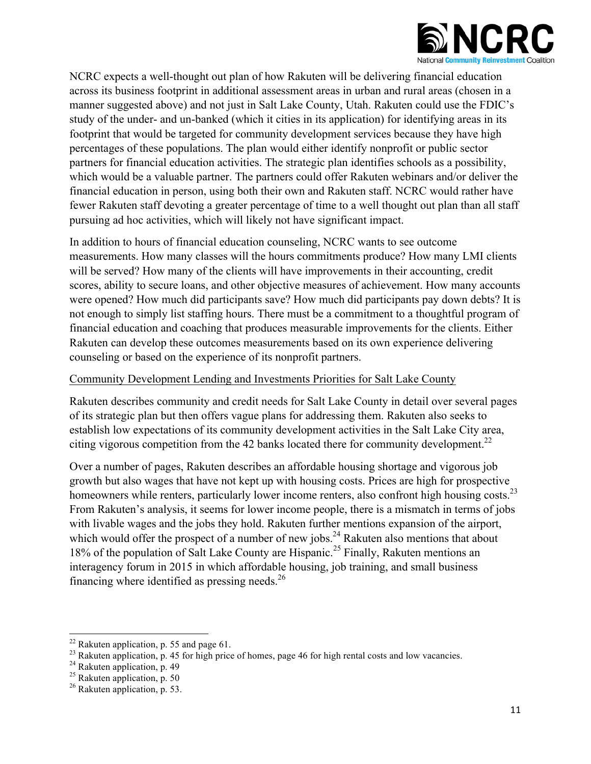

NCRC expects a well-thought out plan of how Rakuten will be delivering financial education across its business footprint in additional assessment areas in urban and rural areas (chosen in a manner suggested above) and not just in Salt Lake County, Utah. Rakuten could use the FDIC's study of the under- and un-banked (which it cities in its application) for identifying areas in its footprint that would be targeted for community development services because they have high percentages of these populations. The plan would either identify nonprofit or public sector partners for financial education activities. The strategic plan identifies schools as a possibility, which would be a valuable partner. The partners could offer Rakuten webinars and/or deliver the financial education in person, using both their own and Rakuten staff. NCRC would rather have fewer Rakuten staff devoting a greater percentage of time to a well thought out plan than all staff pursuing ad hoc activities, which will likely not have significant impact.

In addition to hours of financial education counseling, NCRC wants to see outcome measurements. How many classes will the hours commitments produce? How many LMI clients will be served? How many of the clients will have improvements in their accounting, credit scores, ability to secure loans, and other objective measures of achievement. How many accounts were opened? How much did participants save? How much did participants pay down debts? It is not enough to simply list staffing hours. There must be a commitment to a thoughtful program of financial education and coaching that produces measurable improvements for the clients. Either Rakuten can develop these outcomes measurements based on its own experience delivering counseling or based on the experience of its nonprofit partners.

## Community Development Lending and Investments Priorities for Salt Lake County

Rakuten describes community and credit needs for Salt Lake County in detail over several pages of its strategic plan but then offers vague plans for addressing them. Rakuten also seeks to establish low expectations of its community development activities in the Salt Lake City area, citing vigorous competition from the 42 banks located there for community development.<sup>22</sup>

Over a number of pages, Rakuten describes an affordable housing shortage and vigorous job growth but also wages that have not kept up with housing costs. Prices are high for prospective homeowners while renters, particularly lower income renters, also confront high housing costs.<sup>23</sup> From Rakuten's analysis, it seems for lower income people, there is a mismatch in terms of jobs with livable wages and the jobs they hold. Rakuten further mentions expansion of the airport, which would offer the prospect of a number of new jobs.<sup>24</sup> Rakuten also mentions that about 18% of the population of Salt Lake County are Hispanic.<sup>25</sup> Finally, Rakuten mentions an interagency forum in 2015 in which affordable housing, job training, and small business financing where identified as pressing needs. $^{26}$ 

 $^{22}$  Rakuten application, p. 55 and page 61.

<sup>&</sup>lt;sup>23</sup> Rakuten application, p. 45 for high price of homes, page 46 for high rental costs and low vacancies.<br><sup>24</sup> Rakuten application, p. 49<br><sup>25</sup> Rakuten application, p. 50<br><sup>26</sup> Rakuten application, p. 53.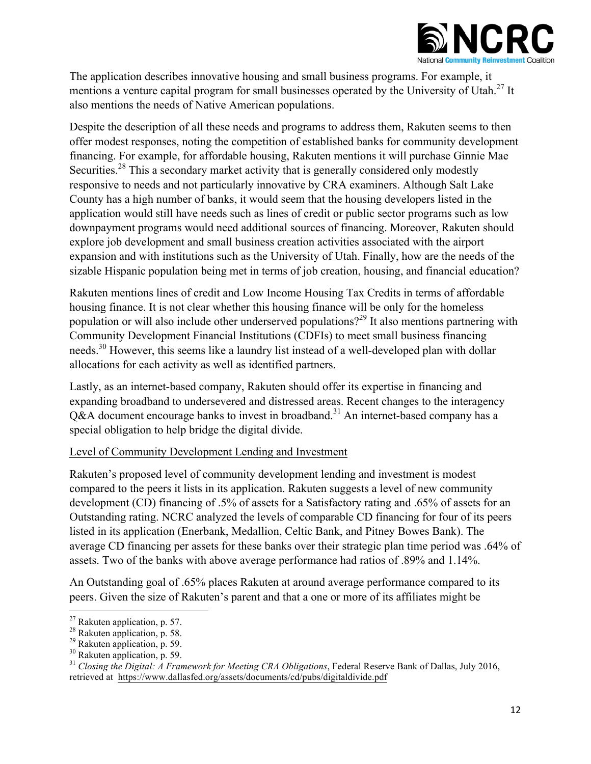

The application describes innovative housing and small business programs. For example, it mentions a venture capital program for small businesses operated by the University of Utah.<sup>27</sup> It also mentions the needs of Native American populations.

Despite the description of all these needs and programs to address them, Rakuten seems to then offer modest responses, noting the competition of established banks for community development financing. For example, for affordable housing, Rakuten mentions it will purchase Ginnie Mae Securities.<sup>28</sup> This a secondary market activity that is generally considered only modestly responsive to needs and not particularly innovative by CRA examiners. Although Salt Lake County has a high number of banks, it would seem that the housing developers listed in the application would still have needs such as lines of credit or public sector programs such as low downpayment programs would need additional sources of financing. Moreover, Rakuten should explore job development and small business creation activities associated with the airport expansion and with institutions such as the University of Utah. Finally, how are the needs of the sizable Hispanic population being met in terms of job creation, housing, and financial education?

Rakuten mentions lines of credit and Low Income Housing Tax Credits in terms of affordable housing finance. It is not clear whether this housing finance will be only for the homeless population or will also include other underserved populations?29 It also mentions partnering with Community Development Financial Institutions (CDFIs) to meet small business financing needs.<sup>30</sup> However, this seems like a laundry list instead of a well-developed plan with dollar allocations for each activity as well as identified partners.

Lastly, as an internet-based company, Rakuten should offer its expertise in financing and expanding broadband to undersevered and distressed areas. Recent changes to the interagency  $O&A$  document encourage banks to invest in broadband.<sup>31</sup> An internet-based company has a special obligation to help bridge the digital divide.

## Level of Community Development Lending and Investment

Rakuten's proposed level of community development lending and investment is modest compared to the peers it lists in its application. Rakuten suggests a level of new community development (CD) financing of .5% of assets for a Satisfactory rating and .65% of assets for an Outstanding rating. NCRC analyzed the levels of comparable CD financing for four of its peers listed in its application (Enerbank, Medallion, Celtic Bank, and Pitney Bowes Bank). The average CD financing per assets for these banks over their strategic plan time period was .64% of assets. Two of the banks with above average performance had ratios of .89% and 1.14%.

An Outstanding goal of .65% places Rakuten at around average performance compared to its peers. Given the size of Rakuten's parent and that a one or more of its affiliates might be

<sup>&</sup>lt;u> 1989 - Jan Stein Stein, fransk politiker (d. 1989)</u>

<sup>&</sup>lt;sup>27</sup> Rakuten application, p. 57.<br><sup>28</sup> Rakuten application, p. 58.<br><sup>29</sup> Rakuten application, p. 59.<br><sup>30</sup> Rakuten application, p. 59.<br><sup>31</sup> Closing the Digital: A Framework for Meeting CRA Obligations, Federal Reserve Bank o retrieved at https://www.dallasfed.org/assets/documents/cd/pubs/digitaldivide.pdf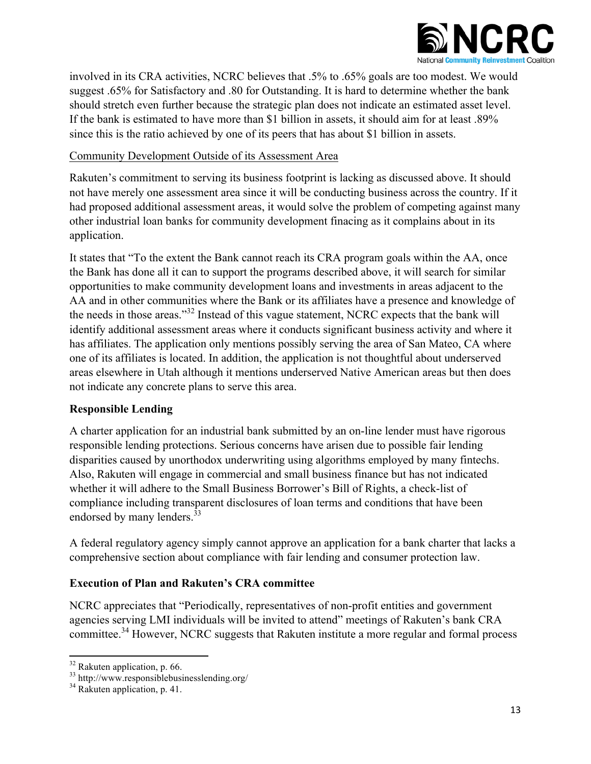

involved in its CRA activities, NCRC believes that .5% to .65% goals are too modest. We would suggest .65% for Satisfactory and .80 for Outstanding. It is hard to determine whether the bank should stretch even further because the strategic plan does not indicate an estimated asset level. If the bank is estimated to have more than \$1 billion in assets, it should aim for at least .89% since this is the ratio achieved by one of its peers that has about \$1 billion in assets.

## Community Development Outside of its Assessment Area

Rakuten's commitment to serving its business footprint is lacking as discussed above. It should not have merely one assessment area since it will be conducting business across the country. If it had proposed additional assessment areas, it would solve the problem of competing against many other industrial loan banks for community development finacing as it complains about in its application.

It states that "To the extent the Bank cannot reach its CRA program goals within the AA, once the Bank has done all it can to support the programs described above, it will search for similar opportunities to make community development loans and investments in areas adjacent to the AA and in other communities where the Bank or its affiliates have a presence and knowledge of the needs in those areas."<sup>32</sup> Instead of this vague statement, NCRC expects that the bank will identify additional assessment areas where it conducts significant business activity and where it has affiliates. The application only mentions possibly serving the area of San Mateo, CA where one of its affiliates is located. In addition, the application is not thoughtful about underserved areas elsewhere in Utah although it mentions underserved Native American areas but then does not indicate any concrete plans to serve this area.

# **Responsible Lending**

A charter application for an industrial bank submitted by an on-line lender must have rigorous responsible lending protections. Serious concerns have arisen due to possible fair lending disparities caused by unorthodox underwriting using algorithms employed by many fintechs. Also, Rakuten will engage in commercial and small business finance but has not indicated whether it will adhere to the Small Business Borrower's Bill of Rights, a check-list of compliance including transparent disclosures of loan terms and conditions that have been endorsed by many lenders.<sup>33</sup>

A federal regulatory agency simply cannot approve an application for a bank charter that lacks a comprehensive section about compliance with fair lending and consumer protection law.

# **Execution of Plan and Rakuten's CRA committee**

NCRC appreciates that "Periodically, representatives of non-profit entities and government agencies serving LMI individuals will be invited to attend" meetings of Rakuten's bank CRA committee.<sup>34</sup> However, NCRC suggests that Rakuten institute a more regular and formal process

 

<sup>&</sup>lt;sup>32</sup> Rakuten application, p. 66.<br><sup>33</sup> http://www.responsiblebusinesslending.org/<br><sup>34</sup> Rakuten application, p. 41.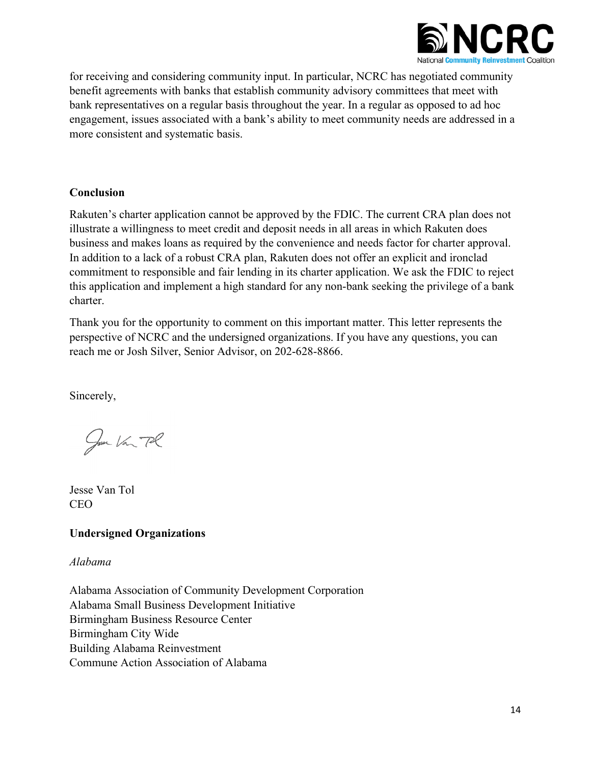

for receiving and considering community input. In particular, NCRC has negotiated community benefit agreements with banks that establish community advisory committees that meet with bank representatives on a regular basis throughout the year. In a regular as opposed to ad hoc engagement, issues associated with a bank's ability to meet community needs are addressed in a more consistent and systematic basis.

### **Conclusion**

Rakuten's charter application cannot be approved by the FDIC. The current CRA plan does not illustrate a willingness to meet credit and deposit needs in all areas in which Rakuten does business and makes loans as required by the convenience and needs factor for charter approval. In addition to a lack of a robust CRA plan, Rakuten does not offer an explicit and ironclad commitment to responsible and fair lending in its charter application. We ask the FDIC to reject this application and implement a high standard for any non-bank seeking the privilege of a bank charter.

Thank you for the opportunity to comment on this important matter. This letter represents the perspective of NCRC and the undersigned organizations. If you have any questions, you can reach me or Josh Silver, Senior Advisor, on 202-628-8866.

Sincerely,

Jun Van Pl

Jesse Van Tol CEO

## **Undersigned Organizations**

*Alabama*

Alabama Association of Community Development Corporation Alabama Small Business Development Initiative Birmingham Business Resource Center Birmingham City Wide Building Alabama Reinvestment Commune Action Association of Alabama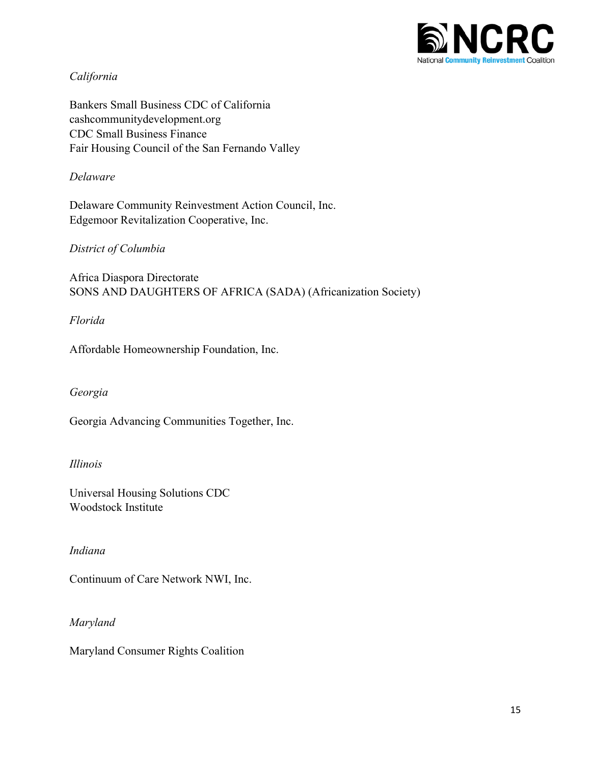

## *California*

Bankers Small Business CDC of California cashcommunitydevelopment.org CDC Small Business Finance Fair Housing Council of the San Fernando Valley

### *Delaware*

Delaware Community Reinvestment Action Council, Inc. Edgemoor Revitalization Cooperative, Inc.

### *District of Columbia*

Africa Diaspora Directorate SONS AND DAUGHTERS OF AFRICA (SADA) (Africanization Society)

*Florida*

Affordable Homeownership Foundation, Inc.

#### *Georgia*

Georgia Advancing Communities Together, Inc.

#### *Illinois*

Universal Housing Solutions CDC Woodstock Institute

#### *Indiana*

Continuum of Care Network NWI, Inc.

*Maryland*

Maryland Consumer Rights Coalition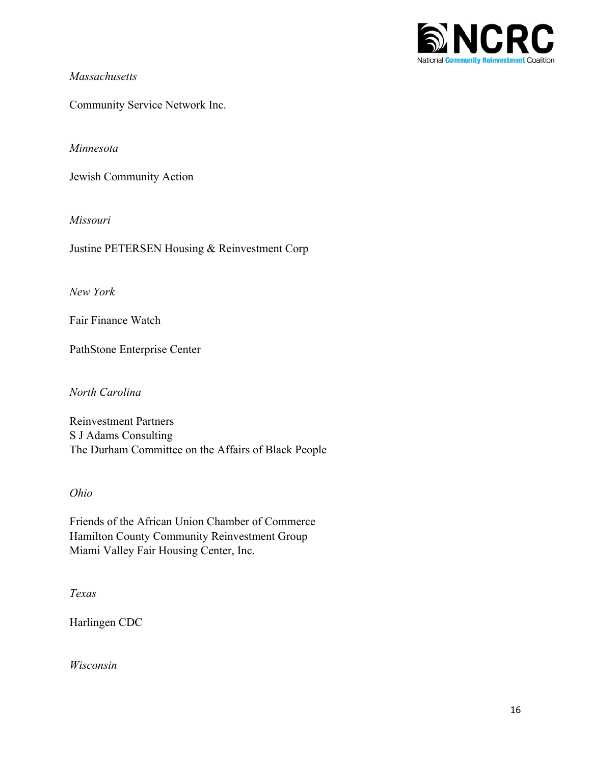

### *Massachusetts*

Community Service Network Inc.

### *Minnesota*

Jewish Community Action

### *Missouri*

Justine PETERSEN Housing & Reinvestment Corp

*New York*

Fair Finance Watch

PathStone Enterprise Center

*North Carolina*

Reinvestment Partners S J Adams Consulting The Durham Committee on the Affairs of Black People

#### *Ohio*

Friends of the African Union Chamber of Commerce Hamilton County Community Reinvestment Group Miami Valley Fair Housing Center, Inc.

*Texas*

Harlingen CDC

*Wisconsin*